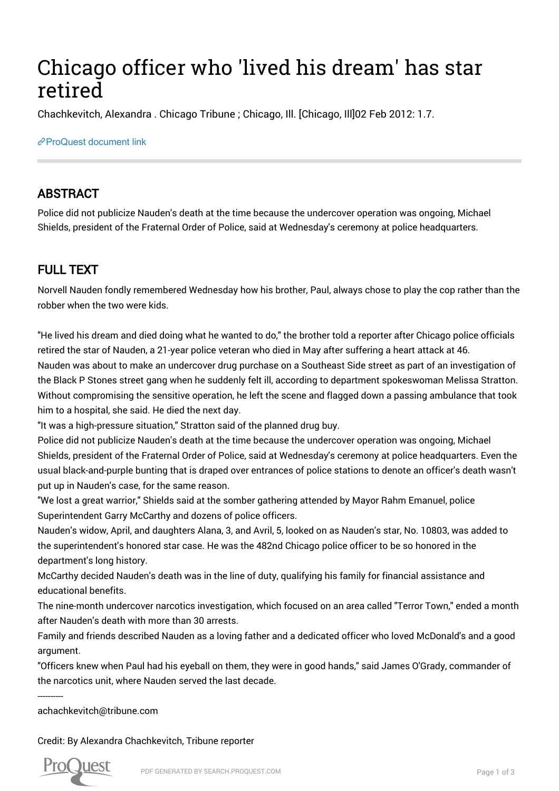# Chicago officer who 'lived his dream' has star retired

Chachkevitch, Alexandra . Chicago Tribune ; Chicago, Ill. [Chicago, Ill]02 Feb 2012: 1.7.

#### [ProQuest document link](http://gatekeeper.chipublib.org/login?url=https://search.proquest.com/docview/919209587?accountid=303)

### ABSTRACT

Police did not publicize Nauden's death at the time because the undercover operation was ongoing, Michael Shields, president of the Fraternal Order of Police, said at Wednesday's ceremony at police headquarters.

## FULL TEXT

Norvell Nauden fondly remembered Wednesday how his brother, Paul, always chose to play the cop rather than the robber when the two were kids.

"He lived his dream and died doing what he wanted to do," the brother told a reporter after Chicago police officials retired the star of Nauden, a 21-year police veteran who died in May after suffering a heart attack at 46.

Nauden was about to make an undercover drug purchase on a Southeast Side street as part of an investigation of the Black P Stones street gang when he suddenly felt ill, according to department spokeswoman Melissa Stratton. Without compromising the sensitive operation, he left the scene and flagged down a passing ambulance that took him to a hospital, she said. He died the next day.

"It was a high-pressure situation," Stratton said of the planned drug buy.

Police did not publicize Nauden's death at the time because the undercover operation was ongoing, Michael Shields, president of the Fraternal Order of Police, said at Wednesday's ceremony at police headquarters. Even the usual black-and-purple bunting that is draped over entrances of police stations to denote an officer's death wasn't put up in Nauden's case, for the same reason.

"We lost a great warrior," Shields said at the somber gathering attended by Mayor Rahm Emanuel, police Superintendent Garry McCarthy and dozens of police officers.

Nauden's widow, April, and daughters Alana, 3, and Avril, 5, looked on as Nauden's star, No. 10803, was added to the superintendent's honored star case. He was the 482nd Chicago police officer to be so honored in the department's long history.

McCarthy decided Nauden's death was in the line of duty, qualifying his family for financial assistance and educational benefits.

The nine-month undercover narcotics investigation, which focused on an area called "Terror Town," ended a month after Nauden's death with more than 30 arrests.

Family and friends described Nauden as a loving father and a dedicated officer who loved McDonald's and a good argument.

"Officers knew when Paul had his eyeball on them, they were in good hands," said James O'Grady, commander of the narcotics unit, where Nauden served the last decade.

achachkevitch@tribune.com

Credit: By Alexandra Chachkevitch, Tribune reporter



----------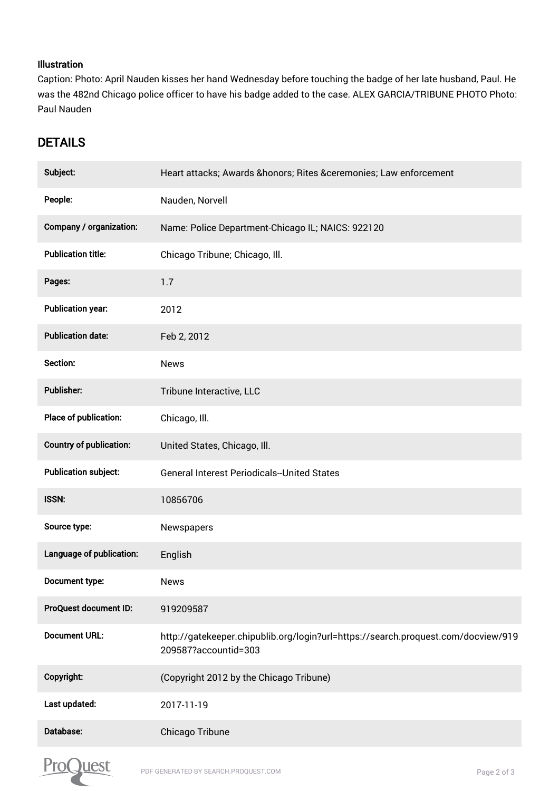#### Illustration

Caption: Photo: April Nauden kisses her hand Wednesday before touching the badge of her late husband, Paul. He was the 482nd Chicago police officer to have his badge added to the case. ALEX GARCIA/TRIBUNE PHOTO Photo: Paul Nauden

## DETAILS

| Subject:                       | Heart attacks; Awards &honors Rites &ceremonies Law enforcement                                           |
|--------------------------------|-----------------------------------------------------------------------------------------------------------|
| People:                        | Nauden, Norvell                                                                                           |
| Company / organization:        | Name: Police Department-Chicago IL; NAICS: 922120                                                         |
| <b>Publication title:</b>      | Chicago Tribune; Chicago, Ill.                                                                            |
| Pages:                         | 1.7                                                                                                       |
| <b>Publication year:</b>       | 2012                                                                                                      |
| <b>Publication date:</b>       | Feb 2, 2012                                                                                               |
| Section:                       | <b>News</b>                                                                                               |
| Publisher:                     | Tribune Interactive, LLC                                                                                  |
| Place of publication:          | Chicago, Ill.                                                                                             |
| <b>Country of publication:</b> | United States, Chicago, Ill.                                                                              |
| <b>Publication subject:</b>    | <b>General Interest Periodicals--United States</b>                                                        |
| ISSN:                          | 10856706                                                                                                  |
| Source type:                   | Newspapers                                                                                                |
| Language of publication:       | English                                                                                                   |
| Document type:                 | News                                                                                                      |
| ProQuest document ID:          | 919209587                                                                                                 |
| <b>Document URL:</b>           | http://gatekeeper.chipublib.org/login?url=https://search.proquest.com/docview/919<br>209587?accountid=303 |
| Copyright:                     | (Copyright 2012 by the Chicago Tribune)                                                                   |
| Last updated:                  | 2017-11-19                                                                                                |
| Database:                      | Chicago Tribune                                                                                           |